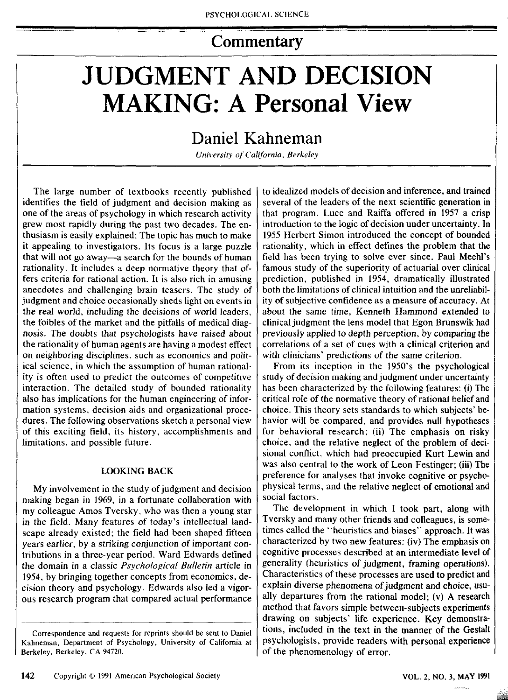### **Commentary**

# **JUDGMENT AND DECISION MAKING: A Personal View**

## Daniel Kahneman

*University of California, Berkeley*

The large number of textbooks recently published identifies the field of judgment and decision making as one of the areas of psychology in which research activity grew most rapidly during the past two decades. The enthusiasm is easily explained: The topic has much to make it appealing to investigators. Its focus is a large puzzle that will not go away—a search for the bounds of human rationality. It includes a deep normative theory that offers criteria for rational action. It is also rich in amusing anecdotes and challenging brain teasers. The study of judgment and choice occasionally sheds light on events in the real world, including the decisions of world leaders, the foibles of the market and the pitfalls of medical diagnosis. The doubts that psychologists have raised about the rationality of human agents are having a modest effect on neighboring disciplines, such as economics and political science, in which the assumption of human rationality is often used to predict the outcomes of competitive interaction. The detailed study of bounded rationality also has implications for the human engineering of information systems, decision aids and organizational procedures. The following observations sketch a personal view of this exciting field, its history, accomplishments and limitations, and possible future.

#### LOOKING BACK

My involvement in the study of judgment and decision making began in 1969, in a fortunate collaboration with my colleague Amos Tversky, who was then a young star *in* the field. Many features of today's intellectual landscape already existed; the field had been shaped fifteen years earlier, by a striking conjunction of important contributions in a three-year period. Ward Edwards defined the domain in a classic *Psychological Bulletin* article in 1954, by bringing together concepts from economics, decision theory and psychology. Edwards also led a vigorous research program that compared actual performance to idealized models of decision and inference, and trained several of the leaders of the next scientific generation in that program. Luce and Raiffa offered in 1957 a crisp introduction to the logic of decision under uncertainty. In 1955 Herbert Simon introduced the concept of bounded rationality, which in effect defines the problem that the field has been trying to solve ever since. Paul Meehl's famous study of the superiority of actuarial over clinical prediction, published in 1954, dramatically illustrated both the limitations of clinical intuition and the unreliability of subjective confidence as a measure of accuracy. At about the same time, Kenneth Hammond extended to clinical judgment the lens model that Egon Brunswik had previously applied to depth perception, by comparing the correlations of a set of cues with a clinical criterion and with clinicians' predictions of the same criterion.

From its inception in the 195O's the psychological study of decision making and judgment under uncertainty has been characterized by the following features: (i) The critical role of the normative theory of rational belief and choice. This theory sets standards to which subjects' behavior will be compared, and provides null hypotheses for behavioral research; (ii) The emphasis on risky choice, and the relative neglect of the problem of decisional conflict, which had preoccupied Kurt Lewin and was also central to the work of Leon Festinger; (iii) The preference for analyses that invoke cognitive or psychophysical terms, and the relative neglect of emotional and social factors.

The development in which I took part, along with Tversky and many other friends and colleagues, is sometimes called the "heuristics and biases" approach. It was characterized by two new features: (iv) The emphasis on cognitive processes described at an intermediate level of generality (heuristics of judgment, framing operations). Characteristics of these processes are used to predict and explain diverse phenomena of judgment and choice, usually departures from the rational model; (v) A research method that favors simple between-subjects experiments drawing on subjects' life experience. Key demonstrations, included in the text in the manner of the Gestalt psychologists, provide readers with personal experience of the phenomenology of error.

Correspondence and requests for reprints should be sent to Daniel Kahneman, Department of Psychology, University of California at Berkeley, Berkeley. *CA* 94720.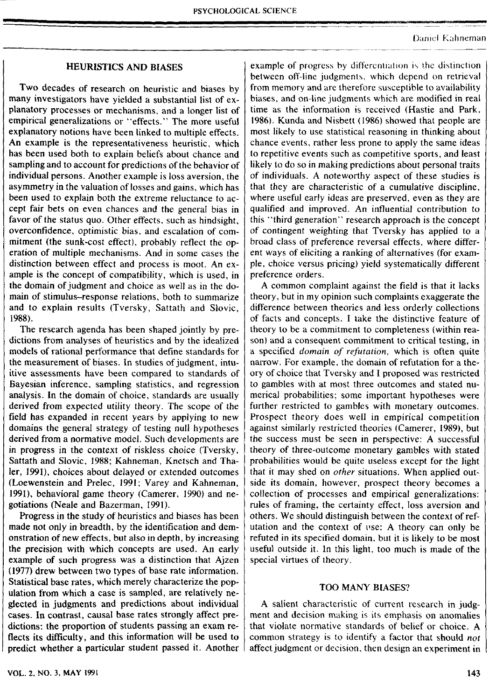#### **HEURISTICS AND BIASES**

Two decades of research on heuristic and biases by many investigators have yielded a substantial list of explanatory processes or mechanisms, and a longer list of empirical generalizations or "effects." The more useful explanatory notions have been linked to multiple effects. An example is the representativeness heuristic, which has been used both to explain beliefs about chance and sampling and to account for predictions of the behavior of individual persons. Another example is loss aversion, the asymmetry in the valuation of losses and gains, which has been used to explain both the extreme reluctance to accept fair bets on even chances and the general bias in favor of the status quo. Other effects, such as hindsight, overconfidence, optimistic bias, and escalation of commitment (the sunk-cost effect), probably reflect the operation of multiple mechanisms. And in some cases the distinction between effect and process is moot. An example is the concept of compatibility, which is used, in the domain of judgment and choice as well as in the domain of stimulus-response relations, both to summarize and to explain results (Tversky, Sattath and Slovic, 1988).

The research agenda has been shaped jointly by predictions from analyses of heuristics and by the idealized models of rational performance that define standards for the measurement of biases. In studies of judgment, intuitive assessments have been compared to standards of Bayesian inference, sampling statistics, and regression analysis. In the domain of choice, standards are usually derived from expected utility theory. The scope of the field has expanded in recent years by applying to new domains the general strategy of testing null hypotheses derived from a normative model. Such developments are in progress in the context of riskless choice (Tversky. Sattath and Slovic. 1988; Kahneman, Knetsch and Thaler, 1991), choices about delayed or extended outcomes (Loewenstein and Prelec, 1991; Varey and Kahneman, 1991), behavioral game theory (Camerer, 1990) and negotiations (Neale and Bazerman, 1991).

Progress in the study of heuristics and biases has been made not only in breadth, by the identification and demonstration of new effects, but also in depth, by increasing the precision with which concepts are used. An early example of such progress was a distinction that Ajzen (1977) drew between two types of base rate information. Statistical base rates, which merely characterize the population from which a case is sampled, are relatively neglected in judgments and predictions about individual cases. In contrast, causal base rates strongly affect predictions: the proportion of students passing an exam reflects its difficulty, and this information will be used to predict whether a particular student passed it. Another example of progress by differentiation is the distinction between off-line judgments, which depend on retrieval from memory and are therefore susceptible to availability biases, and on-line judgments which are modified in real time as the information is received (Hastie and Park, 1986). Kunda and Nisbett (1986) showed that people are most likely to use statistical reasoning in thinking about chance events, rather less prone to apply the same ideas to repetitive events such as competitive sports, and least likely to do so in making predictions about personal traits of individuals. A noteworthy aspect of these studies is that they are characteristic of a cumulative discipline, where useful early ideas are preserved, even as they are qualified and improved. An influential contribution to this "third generation" research approach is the concept of contingent weighting that Tversky has applied to a broad class of preference reversal effects, where different ways of eliciting a ranking of alternatives (for example, choice versus pricing) yield systematically different preference orders.

A common complaint against the field is that it lacks theory, but in my opinion such complaints exaggerate the difference between theories and less orderly collections of facts and concepts. I take the distinctive feature of theory to be a commitment to completeness (within reason) and a consequent commitment to critical testing, in a specified *domain of refutation,* which is often quite narrow. For example, the domain of refutation for a theory of choice that Tversky and I proposed was restricted to gambles with at most three outcomes and stated numerical probabilities; some important hypotheses were further restricted to gambles with monetary outcomes. Prospect theory does well in empirical competition against similarly restricted theories (Camerer, 1989), but the success must be seen in perspective: A successful theory of three-outcome monetary gambles with stated probabilities would be quite useless except for the light that it may shed on *other* situations. When applied outside its domain, however, prospect theory becomes a collection of processes and empirical generalizations: rules of framing, the certainty effect, loss aversion and others. We should distinguish between the context of refutation and the context of use: A theory can only be refuted in its specified domain, but it is likely to be most useful outside it. In this light, too much is made of the special virtues of theory.

#### TOO MANY BIASES?

A salient characteristic of current research in judgment and decision nnaking is its emphasis on anomalies that violate normative standards of belief or choice. A common strategy is to identify a factor that should *not* affect judgment or decision, then design an experiment in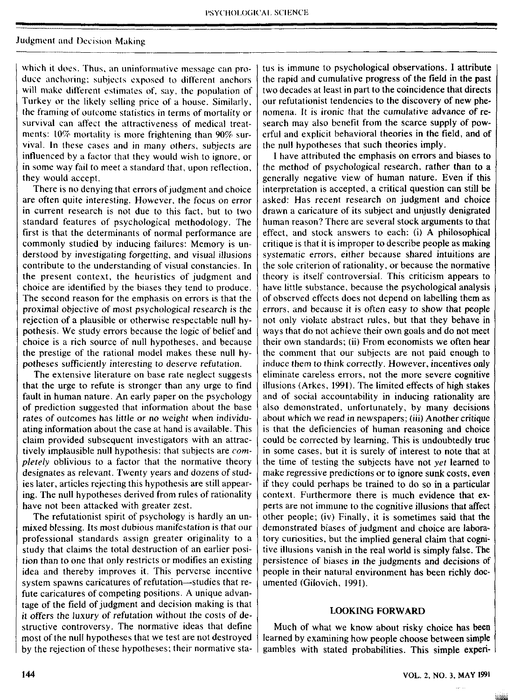#### Judgment and Decision Making

which it does. Thus, an uninformative message can produce anchoring; subjects exposed to different anchors will make different estimates of, say, the population of Turkey or the likely selling price of a house. Similarly, the framing of outcome statistics in terms of mortality or survival can affect the attractiveness of medical treatments: 10% mortality is more frightening than 90% survival. In these cases and in many others, subjects are influenced by a factor that they would wish to ignore, or in some way fail to meet a standard that, upon reflection, they would accept.

There is no denying that errors of judgment and choice are often quite interesting. However, the focus on error in current research is not due to this fact, but to two standard features of psychological methodology. The first is that the determinants of normal performance are commonly studied by inducing failures: Memory is understood by investigating forgetting, and visual illusions contribute to the understanding of visual constancies. In the present context, the heuristics of judgment and choice are identified by the biases they tend to produce. The second reason for the emphasis on errors is that the proximal objective of most psychological research is the rejection of a plausible or otherwise respectable null hypothesis. We study errors because the logic of belief and choice is a rich source of null hypotheses, and because the prestige of the rational model makes these null hypotheses sufficiently interesting to deserve refutation.

The extensive literature on base rate neglect suggests that the urge to refute is stronger than any urge to find fault in human nature. An early paper on the psychology of prediction suggested that information about the base rates of outcomes has little or no weight when individuating information about the case at hand is available. This claim provided subsequent investigators with an attractively implausible null hypothesis: that subjects are *completely* oblivious to a factor that the normative theory designates as relevant. Twenty years and dozens of studies later, articles rejecting this hypothesis are still appearing. The null hypotheses derived from rules of rationality have not been attacked with greater zest.

The refutationist spirit of psychology is hardly an unmixed blessing. Its most dubious manifestation is that our professional standards assign greater originality to a study that claims the total destruction of an earlier position than to one that only restricts or modifies an existing idea and thereby improves it. This perverse incentive system spawns caricatures of refutation—studies that refute caricatures of competing positions. A unique advantage of the field of judgment and decision making is that *it* offers the luxury of refutation without the costs of destructive controversy. The normative ideas that define most of the null hypotheses that we test are not destroyed by the rejection of these hypotheses; their normative status is immune to psychological observations. I attribute the rapid and cumulative progress of the field in the past two decades at least in part to the coincidence that directs our refutationist tendencies to the discovery of new phenomena. It is ironic that the cumulative advance of research may also benefit from the scarce supply of powerful and explicit behavioral theories in the field, and of the null hypotheses that such theories imply.

I have attributed the emphasis on errors and biases to the method of psychological research, rather than to a generally negative view of human nature. Even if this interpretation is accepted, a critical question can still be asked: Has recent research on judgment and choice drawn a caricature of its subject and unjustly denigrated human reason? There are several stock arguments to that effect, and stock answers to each: (i) A philosophical critique is that it is improper to describe people as making systematic errors, either because shared intuitions are the sole criterion of rationality, or because the normative theory is itself controversial. This criticism appears to have little substance, because the psychological analysis of observed effects does not depend on labelling them as errors, and because it is often easy to show that people not only violate abstract rules, but that they behave in ways that do not achieve their own goals and do not meet their own standards; (ii) From economists we often hear the comment that our subjects are not paid enough to induce them to think correctly. However, incentives only eliminate careless errors, not the more severe cognitive illusions (Arkes, 1991). The limited effects of high stakes and of social accountability in inducing rationality are also demonstrated, unfortunately, by many decisions about which we read in newspapers; (iii) Another critique is that the deficiencies of human reasoning and choice could be corrected by learning. This is undoubtedly true in some cases, but it is surely of interest to note that at the time of testing the subjects have not *yet* learned to make regressive predictions or to ignore sunk costs, even if they could perhaps be trained to do so in a particular context. Furthermore there is much evidence that experts are not immune to the cognitive illusions that affect other people; (iv) Finally, it is sometimes said that the demonstrated biases of judgment and choice are laboratory curiosities, but the implied general claim that cognitive illusions vanish in the real world is simply false. The persistence of biases in the judgments and decisions of people in their natural environment has been richly documented (Giiovich, I99I).

#### LOOKING FORWARD

Much of what we know about risky choice has been learned by examining how people choose between simple gambles with stated probabilities. This simple experi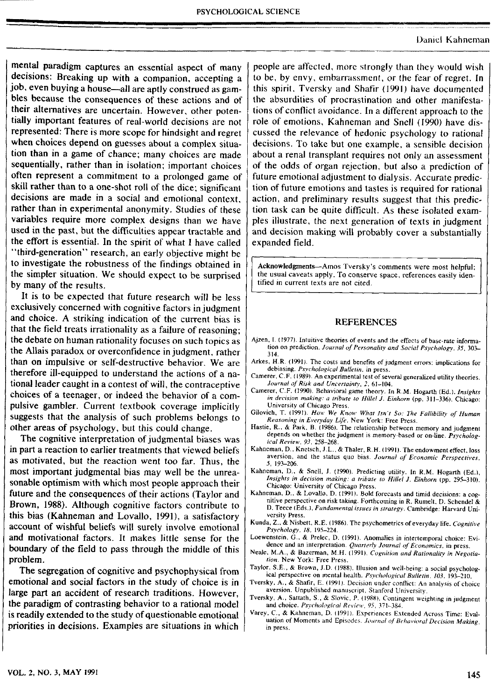mental paradigm captures an essential aspect of many decisions: Breaking up with a companion, accepting a job, even buying a house—all are aptly construed as gambles because the consequences of these actions and of their alternatives are uncertain. However, other potentially important features of real-world decisions are not represented: There is more scope for hindsight and regret when choices depend on guesses about a complex situation than in a game of chance; many choices are made sequentially, rather than in isolation; important choices often represent a commitment to a prolonged game of skill rather than to a one-shot roll of the dice; significant decisions are made in a social and emotional context, rather than in experimental anonymity. Studies of these variables require more complex designs than we have used in the past, but the difficulties appear tractable and the effort is essential. In the spirit of what I have called "third-generation" research, an early objective might be to investigate the robustness of the findings obtained in the simpler situation. We should expect to be surprised by many of the results.

It is to be expected that future research will be less exclusively concerned with cognitive factors in judgment and choice. A striking indication of the current bias is that the field treats irrationality as a failure of reasoning; the debate on human rationality focuses on such topics as the Allais paradox or overconfidence in judgment, rather than on impulsive or self-destructive behavior. We are therefore ill-equipped to understand the actions of a national leader caught in a contest of will, the contraceptive choices of a teenager, or indeed the behavior of a compulsive gambler. Current textbook coverage implicitly suggests that the analysis of such problems belongs to other areas of psychology, but this could change.

The cognitive interpretation of judgmental biases was in part a reaction to earlier treatments that viewed beliefs as motivated, but the reaction went too far. Thus, the most important judgmental bias may well be the unreasonable optimism with which most people approach their future and the consequences of their actions (Taylor and Brown, 1988). Although cognitive factors contribute to this bias (Kahneman and Lovallo, 1991), a satisfactory account of wishful beliefs will surely involve emotional and motivational factors. It makes little sense for the boundary of the field to pass through the middle of this problem.

The segregation of cognitive and psychophysical from emotional and social factors in the study of choice is in large part an accident of research traditions. However, the paradigm of contrasting behavior to a rational model is readily extended to the study of questionable emotional priorities in decisions. Examples are situations in which

people are affected, more strongly than they would wish to be, by envy, embarrassment, or the fear of regret. In this spirit, Tversky and Shafir (1991) have documented the absurdities of procrastination and other manifestations of conflict avoidance. In a different approach to the role of emotions, Kahneman and Snell (1990) have discussed the relevance of hedonic psychology to rational decisions. To take but one example, a sensible decision about a renal transplant requires not only an assessment of the odds of organ rejection, but also a prediction of future emotional adjustment to dialysis. Accurate prediction of future emotions and tastes is required for rational action, and preliminary results suggest that this prediction task can be quite difficult. As these isolated examples illustrate, the next generation of texts in judgment and decision making will probably cover a substantially expanded field.

**Acknowledgments**—Amos Tversky's comments were most helpful; the usual caveats apply. To conserve space, references easily identified in current texts are not cited.

#### REFERENCES

- Ajzen. I. (1977). Intuitive theories of events and the effects of base-rate information on prediction. *Journal of Personality and Social Psychology. 35* 303- 314.
- Arkes, H.R. (1991). The costs and benefits of judgment errors: implications for debiasing. *Psychological Butletin.* in press.
- Camerer, C.F. (1989). An experimental test of several generalized utility theories. *Journat of Risk and Uncertainty. 2.* 61-104,
- Camerer, C,F. (1990). Behavioral game theory. In R.M. Hogarth (Ed.), *Insights in decision making: a tribute to Hiiiel J. Einhorn* (pp, 311-336). Chicago: University of Chicago Press,
- Giiovich, T. (1991). *How We Know What Isn't So: The Fallibility of Human Reasoning in Everyday Life,* New York: Eree Press.
- Hastie, R.. & Park. B. (1986). The relationship between memory and judgment depends on whether the judgment is memory based or on-line. *Psychological Review. 93.* 258-268,
- Kahneman, D., Knetsch, J.L.. & Thaler, R.H. (1991). The endowment effect, joss aversion, and the status quo bias. *Journat of Economic Perspectives 5.* 193-206,
- Kahneman, D., *&* Sneli. J, (1990), Predicting utility. In R.M. Hogarth (Ed.). *Insights in decision making: a tribute to Hillei J. Einhorn* (pp. 295-310). Chicago: University of Chicago Press.
- Kahneman, D., & Lovallo, D. (1991). Bold forecasts and timid decisions: a cognitive perspective on risk taking, Forthcoming in R. Rumelt, D. Schendel & D. Teece (Eds.), *Fundamental issues in strategy.* Cambridge: Harvard University Press,
- Kunda, Z., & Nisbett, R.E, (1986). The psychometrics of everyday life. *Cognitive Psychology, 18.* 195-224.
- Loewenstein. G.. & Prelec, D. (1991). Anomalies in intertemporal choice: Evidence and an interpretation. *Quarterly Journal of Economics,* in press.
- Neaie. M.A., *&* Bazerman, M,H. (1991), *Cognition and Rationality in Negotiation.* New York: Free Press,
- Tayfor, S.E., & Brown, J,D. (1988). Illusion and well-being: a social psychological perspective on mental health. *Psychological Butletin, 103.* 193-210.
- Tversky, A., & Shafir, E. (1991). Decision under conflict: An analysis of choice aversion. Unpublished manuscript, Stanford University.
- Tversky, A., Sattath. S., *&* Slovic. P, (1988). Contingent weighting in judgment and choice. *Psyctiotogical Review. 95.* 371-384.
- Varey, C , *&* Kahneman, D. (1991), Experiences Extended Across Time: Evaluation of Moments and Episodes. Journal of Behavioral Decision Making, in press.